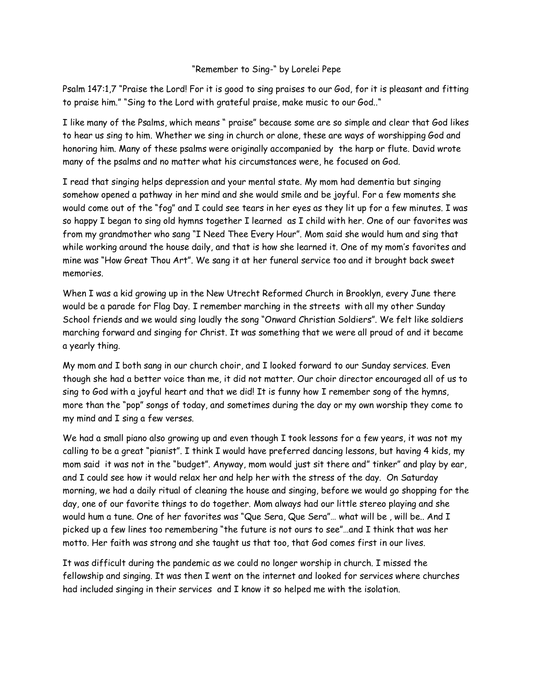## "Remember to Sing-" by Lorelei Pepe

Psalm 147:1,7 "Praise the Lord! For it is good to sing praises to our God, for it is pleasant and fitting to praise him." "Sing to the Lord with grateful praise, make music to our God.."

I like many of the Psalms, which means " praise" because some are so simple and clear that God likes to hear us sing to him. Whether we sing in church or alone, these are ways of worshipping God and honoring him. Many of these psalms were originally accompanied by the harp or flute. David wrote many of the psalms and no matter what his circumstances were, he focused on God.

I read that singing helps depression and your mental state. My mom had dementia but singing somehow opened a pathway in her mind and she would smile and be joyful. For a few moments she would come out of the "fog" and I could see tears in her eyes as they lit up for a few minutes. I was so happy I began to sing old hymns together I learned as I child with her. One of our favorites was from my grandmother who sang "I Need Thee Every Hour". Mom said she would hum and sing that while working around the house daily, and that is how she learned it. One of my mom's favorites and mine was "How Great Thou Art". We sang it at her funeral service too and it brought back sweet memories.

When I was a kid growing up in the New Utrecht Reformed Church in Brooklyn, every June there would be a parade for Flag Day. I remember marching in the streets with all my other Sunday School friends and we would sing loudly the song "Onward Christian Soldiers". We felt like soldiers marching forward and singing for Christ. It was something that we were all proud of and it became a yearly thing.

My mom and I both sang in our church choir, and I looked forward to our Sunday services. Even though she had a better voice than me, it did not matter. Our choir director encouraged all of us to sing to God with a joyful heart and that we did! It is funny how I remember song of the hymns, more than the "pop" songs of today, and sometimes during the day or my own worship they come to my mind and I sing a few verses.

We had a small piano also growing up and even though I took lessons for a few years, it was not my calling to be a great "pianist". I think I would have preferred dancing lessons, but having 4 kids, my mom said it was not in the "budget". Anyway, mom would just sit there and" tinker" and play by ear, and I could see how it would relax her and help her with the stress of the day. On Saturday morning, we had a daily ritual of cleaning the house and singing, before we would go shopping for the day, one of our favorite things to do together. Mom always had our little stereo playing and she would hum a tune. One of her favorites was "Que Sera, Que Sera"… what will be , will be.. And I picked up a few lines too remembering "the future is not ours to see"…and I think that was her motto. Her faith was strong and she taught us that too, that God comes first in our lives.

It was difficult during the pandemic as we could no longer worship in church. I missed the fellowship and singing. It was then I went on the internet and looked for services where churches had included singing in their services and I know it so helped me with the isolation.